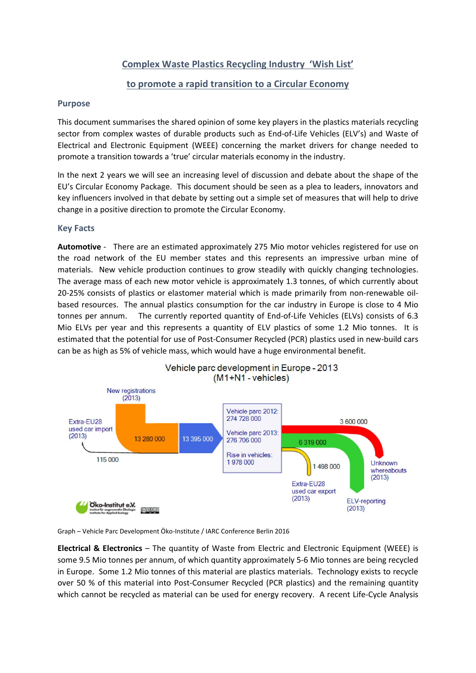# **Complex Waste Plastics Recycling Industry 'Wish List'**

## **to promote a rapid transition to a Circular Economy**

### **Purpose**

This document summarises the shared opinion of some key players in the plastics materials recycling sector from complex wastes of durable products such as End-of-Life Vehicles (ELV's) and Waste of Electrical and Electronic Equipment (WEEE) concerning the market drivers for change needed to promote a transition towards a 'true' circular materials economy in the industry.

In the next 2 years we will see an increasing level of discussion and debate about the shape of the EU's Circular Economy Package. This document should be seen as a plea to leaders, innovators and key influencers involved in that debate by setting out a simple set of measures that will help to drive change in a positive direction to promote the Circular Economy.

### **Key Facts**

**Automotive** - There are an estimated approximately 275 Mio motor vehicles registered for use on the road network of the EU member states and this represents an impressive urban mine of materials. New vehicle production continues to grow steadily with quickly changing technologies. The average mass of each new motor vehicle is approximately 1.3 tonnes, of which currently about 20-25% consists of plastics or elastomer material which is made primarily from non-renewable oilbased resources. The annual plastics consumption for the car industry in Europe is close to 4 Mio tonnes per annum. The currently reported quantity of End-of-Life Vehicles (ELVs) consists of 6.3 Mio ELVs per year and this represents a quantity of ELV plastics of some 1.2 Mio tonnes. It is estimated that the potential for use of Post-Consumer Recycled (PCR) plastics used in new-build cars can be as high as 5% of vehicle mass, which would have a huge environmental benefit.





**Electrical & Electronics** – The quantity of Waste from Electric and Electronic Equipment (WEEE) is some 9.5 Mio tonnes per annum, of which quantity approximately 5-6 Mio tonnes are being recycled in Europe. Some 1.2 Mio tonnes of this material are plastics materials. Technology exists to recycle over 50 % of this material into Post-Consumer Recycled (PCR plastics) and the remaining quantity which cannot be recycled as material can be used for energy recovery. A recent Life-Cycle Analysis

Graph – Vehicle Parc Development Öko-Institute / IARC Conference Berlin 2016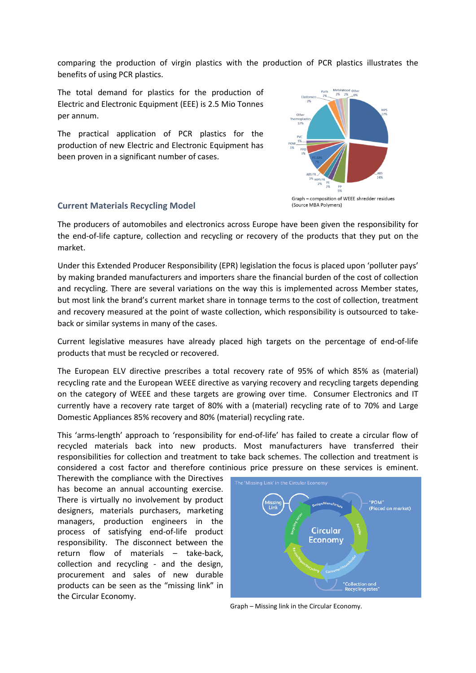comparing the production of virgin plastics with the production of PCR plastics illustrates the benefits of using PCR plastics.

The total demand for plastics for the production of Electric and Electronic Equipment (EEE) is 2.5 Mio Tonnes per annum.

The practical application of PCR plastics for the production of new Electric and Electronic Equipment has been proven in a significant number of cases.



#### **Current Materials Recycling Model**

The producers of automobiles and electronics across Europe have been given the responsibility for the end-of-life capture, collection and recycling or recovery of the products that they put on the market.

Under this Extended Producer Responsibility (EPR) legislation the focus is placed upon 'polluter pays' by making branded manufacturers and importers share the financial burden of the cost of collection and recycling. There are several variations on the way this is implemented across Member states, but most link the brand's current market share in tonnage terms to the cost of collection, treatment and recovery measured at the point of waste collection, which responsibility is outsourced to takeback or similar systems in many of the cases.

Current legislative measures have already placed high targets on the percentage of end-of-life products that must be recycled or recovered.

The European ELV directive prescribes a total recovery rate of 95% of which 85% as (material) recycling rate and the European WEEE directive as varying recovery and recycling targets depending on the category of WEEE and these targets are growing over time. Consumer Electronics and IT currently have a recovery rate target of 80% with a (material) recycling rate of to 70% and Large Domestic Appliances 85% recovery and 80% (material) recycling rate.

This 'arms-length' approach to 'responsibility for end-of-life' has failed to create a circular flow of recycled materials back into new products. Most manufacturers have transferred their responsibilities for collection and treatment to take back schemes. The collection and treatment is considered a cost factor and therefore continious price pressure on these services is eminent.

Therewith the compliance with the Directives has become an annual accounting exercise. There is virtually no involvement by product designers, materials purchasers, marketing managers, production engineers in the process of satisfying end-of-life product responsibility. The disconnect between the return flow of materials – take-back, collection and recycling - and the design, procurement and sales of new durable products can be seen as the "missing link" in the Circular Economy.



Graph – Missing link in the Circular Economy.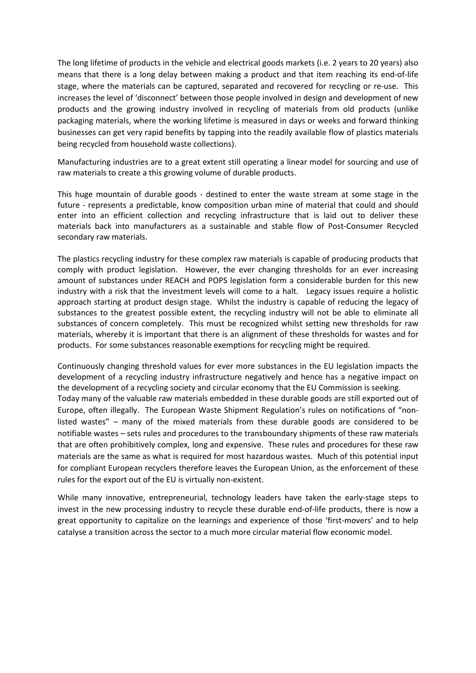The long lifetime of products in the vehicle and electrical goods markets (i.e. 2 years to 20 years) also means that there is a long delay between making a product and that item reaching its end-of-life stage, where the materials can be captured, separated and recovered for recycling or re-use. This increases the level of 'disconnect' between those people involved in design and development of new products and the growing industry involved in recycling of materials from old products (unlike packaging materials, where the working lifetime is measured in days or weeks and forward thinking businesses can get very rapid benefits by tapping into the readily available flow of plastics materials being recycled from household waste collections).

Manufacturing industries are to a great extent still operating a linear model for sourcing and use of raw materials to create a this growing volume of durable products.

This huge mountain of durable goods - destined to enter the waste stream at some stage in the future - represents a predictable, know composition urban mine of material that could and should enter into an efficient collection and recycling infrastructure that is laid out to deliver these materials back into manufacturers as a sustainable and stable flow of Post-Consumer Recycled secondary raw materials.

The plastics recycling industry for these complex raw materials is capable of producing products that comply with product legislation. However, the ever changing thresholds for an ever increasing amount of substances under REACH and POPS legislation form a considerable burden for this new industry with a risk that the investment levels will come to a halt. Legacy issues require a holistic approach starting at product design stage. Whilst the industry is capable of reducing the legacy of substances to the greatest possible extent, the recycling industry will not be able to eliminate all substances of concern completely. This must be recognized whilst setting new thresholds for raw materials, whereby it is important that there is an alignment of these thresholds for wastes and for products. For some substances reasonable exemptions for recycling might be required.

Continuously changing threshold values for ever more substances in the EU legislation impacts the development of a recycling industry infrastructure negatively and hence has a negative impact on the development of a recycling society and circular economy that the EU Commission is seeking. Today many of the valuable raw materials embedded in these durable goods are still exported out of Europe, often illegally. The European Waste Shipment Regulation's rules on notifications of "nonlisted wastes" – many of the mixed materials from these durable goods are considered to be notifiable wastes – sets rules and procedures to the transboundary shipments of these raw materials that are often prohibitively complex, long and expensive. These rules and procedures for these raw materials are the same as what is required for most hazardous wastes. Much of this potential input for compliant European recyclers therefore leaves the European Union, as the enforcement of these rules for the export out of the EU is virtually non-existent.

While many innovative, entrepreneurial, technology leaders have taken the early-stage steps to invest in the new processing industry to recycle these durable end-of-life products, there is now a great opportunity to capitalize on the learnings and experience of those 'first-movers' and to help catalyse a transition across the sector to a much more circular material flow economic model.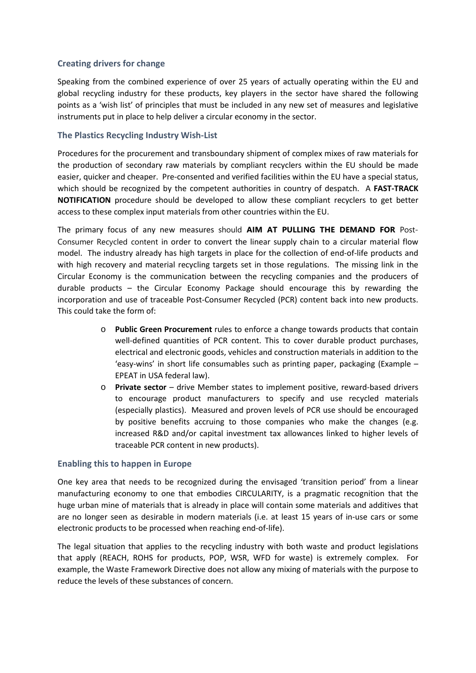## **Creating drivers for change**

Speaking from the combined experience of over 25 years of actually operating within the EU and global recycling industry for these products, key players in the sector have shared the following points as a 'wish list' of principles that must be included in any new set of measures and legislative instruments put in place to help deliver a circular economy in the sector.

## **The Plastics Recycling Industry Wish-List**

Procedures for the procurement and transboundary shipment of complex mixes of raw materials for the production of secondary raw materials by compliant recyclers within the EU should be made easier, quicker and cheaper. Pre-consented and verified facilities within the EU have a special status, which should be recognized by the competent authorities in country of despatch. A **FAST-TRACK NOTIFICATION** procedure should be developed to allow these compliant recyclers to get better access to these complex input materials from other countries within the EU.

The primary focus of any new measures should **AIM AT PULLING THE DEMAND FOR** Post-Consumer Recycled content in order to convert the linear supply chain to a circular material flow model. The industry already has high targets in place for the collection of end-of-life products and with high recovery and material recycling targets set in those regulations. The missing link in the Circular Economy is the communication between the recycling companies and the producers of durable products – the Circular Economy Package should encourage this by rewarding the incorporation and use of traceable Post-Consumer Recycled (PCR) content back into new products. This could take the form of:

- Public Green Procurement rules to enforce a change towards products that contain well-defined quantities of PCR content. This to cover durable product purchases, electrical and electronic goods, vehicles and construction materials in addition to the 'easy-wins' in short life consumables such as printing paper, packaging (Example – EPEAT in USA federal law).
- o **Private sector**  drive Member states to implement positive, reward-based drivers to encourage product manufacturers to specify and use recycled materials (especially plastics). Measured and proven levels of PCR use should be encouraged by positive benefits accruing to those companies who make the changes (e.g. increased R&D and/or capital investment tax allowances linked to higher levels of traceable PCR content in new products).

### **Enabling this to happen in Europe**

One key area that needs to be recognized during the envisaged 'transition period' from a linear manufacturing economy to one that embodies CIRCULARITY, is a pragmatic recognition that the huge urban mine of materials that is already in place will contain some materials and additives that are no longer seen as desirable in modern materials (i.e. at least 15 years of in-use cars or some electronic products to be processed when reaching end-of-life).

The legal situation that applies to the recycling industry with both waste and product legislations that apply (REACH, ROHS for products, POP, WSR, WFD for waste) is extremely complex. For example, the Waste Framework Directive does not allow any mixing of materials with the purpose to reduce the levels of these substances of concern.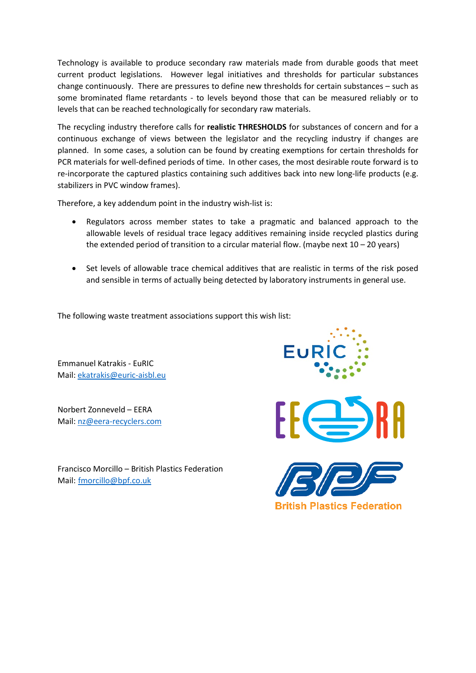Technology is available to produce secondary raw materials made from durable goods that meet current product legislations. However legal initiatives and thresholds for particular substances change continuously. There are pressures to define new thresholds for certain substances – such as some brominated flame retardants - to levels beyond those that can be measured reliably or to levels that can be reached technologically for secondary raw materials.

The recycling industry therefore calls for **realistic THRESHOLDS** for substances of concern and for a continuous exchange of views between the legislator and the recycling industry if changes are planned. In some cases, a solution can be found by creating exemptions for certain thresholds for PCR materials for well-defined periods of time. In other cases, the most desirable route forward is to re-incorporate the captured plastics containing such additives back into new long-life products (e.g. stabilizers in PVC window frames).

Therefore, a key addendum point in the industry wish-list is:

- Regulators across member states to take a pragmatic and balanced approach to the allowable levels of residual trace legacy additives remaining inside recycled plastics during the extended period of transition to a circular material flow. (maybe next  $10 - 20$  years)
- Set levels of allowable trace chemical additives that are realistic in terms of the risk posed and sensible in terms of actually being detected by laboratory instruments in general use.

The following waste treatment associations support this wish list:

Emmanuel Katrakis - EuRIC Mail: [ekatrakis@euric-aisbl.eu](mailto:ekatrakis@euric-aisbl.eu)

Norbert Zonneveld – EERA Mail: [nz@eera-recyclers.com](mailto:nz@eera-recyclers.com)

Francisco Morcillo – British Plastics Federation Mail: fmorcillo@bpf.co.uk